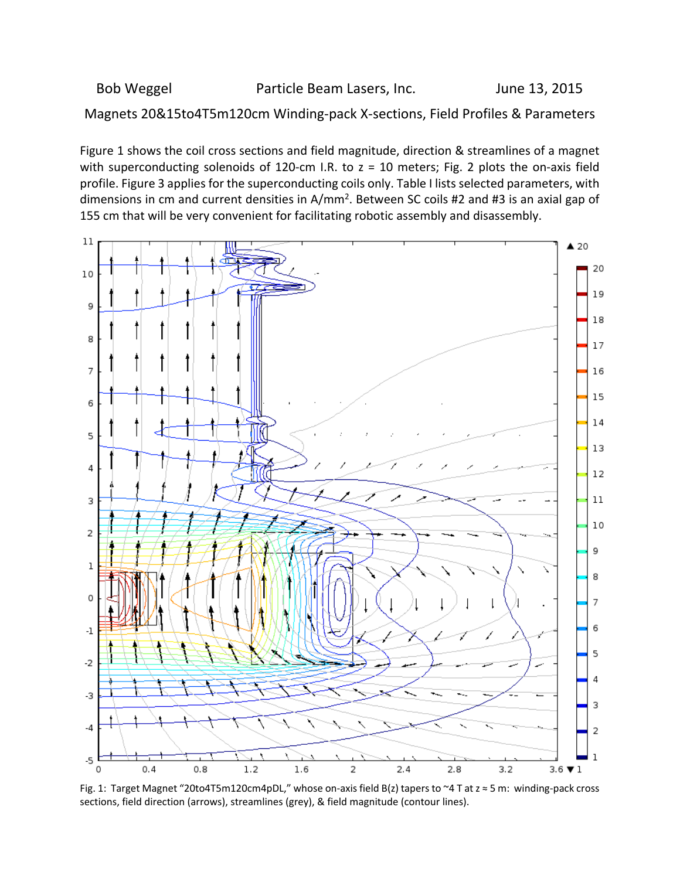## Bob Weggel **Ream Lasers**, Inc. The Sunne 13, 2015

Magnets 20&15to4T5m120cm Winding‐pack X‐sections, Field Profiles & Parameters

Figure 1 shows the coil cross sections and field magnitude, direction & streamlines of a magnet with superconducting solenoids of 120-cm I.R. to  $z = 10$  meters; Fig. 2 plots the on-axis field profile. Figure 3 applies for the superconducting coils only. Table I lists selected parameters, with dimensions in cm and current densities in A/mm<sup>2</sup>. Between SC coils #2 and #3 is an axial gap of 155 cm that will be very convenient for facilitating robotic assembly and disassembly.



Fig. 1: Target Magnet "20to4T5m120cm4pDL," whose on‐axis field B(z) tapers to ~4 T at z ≈ 5 m: winding‐pack cross sections, field direction (arrows), streamlines (grey), & field magnitude (contour lines).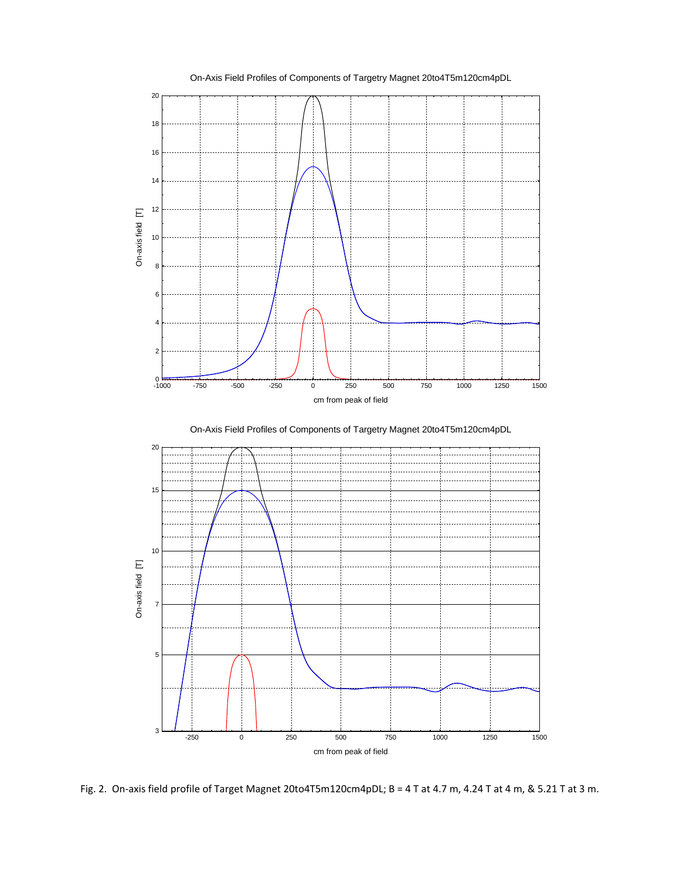

On-Axis Field Profiles of Components of Targetry Magnet 20to4T5m120cm4pDL



Fig. 2. On-axis field profile of Target Magnet 20to4T5m120cm4pDL; B = 4 T at 4.7 m, 4.24 T at 4 m, & 5.21 T at 3 m.